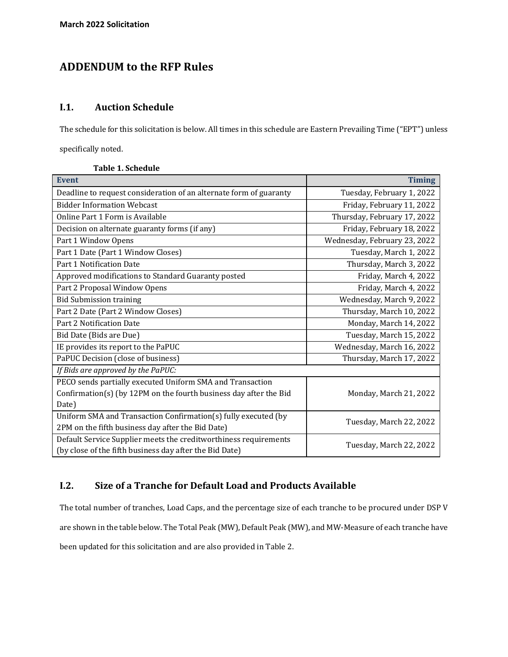# **ADDENDUM to the RFP Rules**

### **I.1. Auction Schedule**

The schedule for this solicitation is below. All times in this schedule are Eastern Prevailing Time ("EPT") unless

specifically noted.

| Table 1. Schedule                                                  |                              |  |
|--------------------------------------------------------------------|------------------------------|--|
| <b>Event</b>                                                       | <b>Timing</b>                |  |
| Deadline to request consideration of an alternate form of guaranty | Tuesday, February 1, 2022    |  |
| <b>Bidder Information Webcast</b>                                  | Friday, February 11, 2022    |  |
| Online Part 1 Form is Available                                    | Thursday, February 17, 2022  |  |
| Decision on alternate guaranty forms (if any)                      | Friday, February 18, 2022    |  |
| Part 1 Window Opens                                                | Wednesday, February 23, 2022 |  |
| Part 1 Date (Part 1 Window Closes)                                 | Tuesday, March 1, 2022       |  |
| Part 1 Notification Date                                           | Thursday, March 3, 2022      |  |
| Approved modifications to Standard Guaranty posted                 | Friday, March 4, 2022        |  |
| Part 2 Proposal Window Opens                                       | Friday, March 4, 2022        |  |
| <b>Bid Submission training</b>                                     | Wednesday, March 9, 2022     |  |
| Part 2 Date (Part 2 Window Closes)                                 | Thursday, March 10, 2022     |  |
| Part 2 Notification Date                                           | Monday, March 14, 2022       |  |
| Bid Date (Bids are Due)                                            | Tuesday, March 15, 2022      |  |
| IE provides its report to the PaPUC                                | Wednesday, March 16, 2022    |  |
| PaPUC Decision (close of business)                                 | Thursday, March 17, 2022     |  |
| If Bids are approved by the PaPUC:                                 |                              |  |
| PECO sends partially executed Uniform SMA and Transaction          |                              |  |
| Confirmation(s) (by 12PM on the fourth business day after the Bid  | Monday, March 21, 2022       |  |
| Date)                                                              |                              |  |
| Uniform SMA and Transaction Confirmation(s) fully executed (by     | Tuesday, March 22, 2022      |  |
| 2PM on the fifth business day after the Bid Date)                  |                              |  |
| Default Service Supplier meets the creditworthiness requirements   | Tuesday, March 22, 2022      |  |
| (by close of the fifth business day after the Bid Date)            |                              |  |

## **Table 1. Schedule**

## **I.2. Size of a Tranche for Default Load and Products Available**

The total number of tranches, Load Caps, and the percentage size of each tranche to be procured under DSP V are shown in the table below. The Total Peak (MW), Default Peak (MW), and MW-Measure of each tranche have been updated for this solicitation and are also provided in Table 2.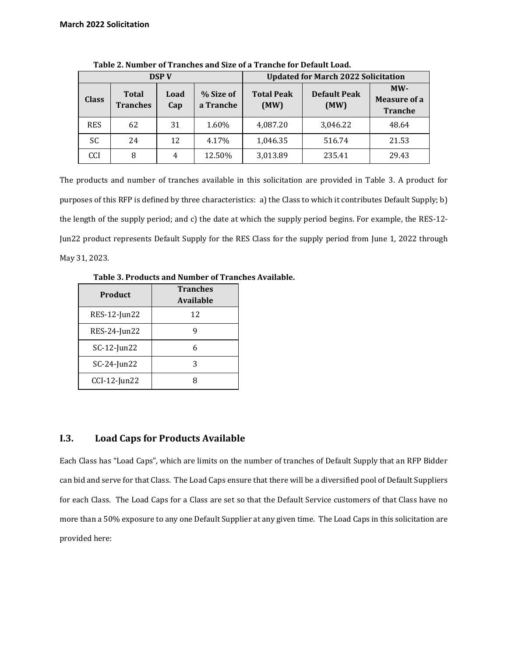| <b>DSPV</b>  |                                 |             | <b>Updated for March 2022 Solicitation</b> |                           |                             |                                                |
|--------------|---------------------------------|-------------|--------------------------------------------|---------------------------|-----------------------------|------------------------------------------------|
| <b>Class</b> | <b>Total</b><br><b>Tranches</b> | Load<br>Cap | % Size of<br>a Tranche                     | <b>Total Peak</b><br>(MW) | <b>Default Peak</b><br>(MW) | $MW-$<br><b>Measure of a</b><br><b>Tranche</b> |
| <b>RES</b>   | 62                              | 31          | 1.60%                                      | 4,087.20                  | 3,046.22                    | 48.64                                          |
| <b>SC</b>    | 24                              | 12          | 4.17%                                      | 1,046.35                  | 516.74                      | 21.53                                          |
| CCI          | 8                               | 4           | 12.50%                                     | 3,013.89                  | 235.41                      | 29.43                                          |

**Table 2. Number of Tranches and Size of a Tranche for Default Load.**

The products and number of tranches available in this solicitation are provided in Table 3. A product for purposes of this RFP is defined by three characteristics: a) the Class to which it contributes Default Supply; b) the length of the supply period; and c) the date at which the supply period begins. For example, the RES-12- Jun22 product represents Default Supply for the RES Class for the supply period from June 1, 2022 through May 31, 2023.

| <b>Product</b>  | <b>Tranches</b><br><b>Available</b> |
|-----------------|-------------------------------------|
| RES-12-Jun22    | 12                                  |
| RES-24-Jun22    | g                                   |
| $SC-12$ -Jun22  | 6                                   |
| $SC-24$ -Jun22  | 3                                   |
| $CCI-12$ -Jun22 | Я                                   |

**Table 3. Products and Number of Tranches Available.**

### **I.3. Load Caps for Products Available**

Each Class has "Load Caps", which are limits on the number of tranches of Default Supply that an RFP Bidder can bid and serve for that Class. The Load Caps ensure that there will be a diversified pool of Default Suppliers for each Class. The Load Caps for a Class are set so that the Default Service customers of that Class have no more than a 50% exposure to any one Default Supplier at any given time. The Load Caps in this solicitation are provided here: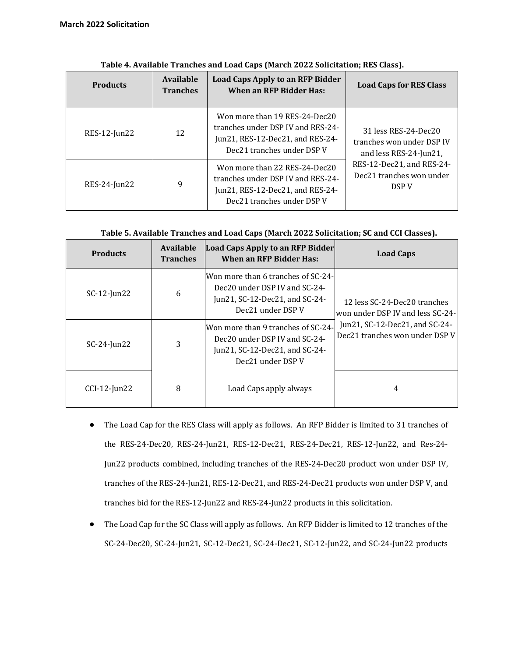| <b>Products</b> | Available<br><b>Tranches</b> | <b>Load Caps Apply to an RFP Bidder</b><br><b>When an RFP Bidder Has:</b>                                                            | <b>Load Caps for RES Class</b>                                              |  |
|-----------------|------------------------------|--------------------------------------------------------------------------------------------------------------------------------------|-----------------------------------------------------------------------------|--|
| $RES-12$ -Jun22 | 12                           | Won more than 19 RES-24-Dec20<br>tranches under DSP IV and RES-24-<br>Jun21, RES-12-Dec21, and RES-24-<br>Dec21 tranches under DSP V | 31 less RES-24-Dec20<br>tranches won under DSP IV<br>and less RES-24-Jun21. |  |
| RES-24-Jun22    | 9                            | Won more than 22 RES-24-Dec20<br>tranches under DSP IV and RES-24-<br>Jun21, RES-12-Dec21, and RES-24-<br>Dec21 tranches under DSP V | RES-12-Dec21, and RES-24-<br>Dec21 tranches won under<br>DSP V              |  |

| Table 4. Available Tranches and Load Caps (March 2022 Solicitation; RES Class). |
|---------------------------------------------------------------------------------|
|---------------------------------------------------------------------------------|

| Table 5. Available Tranches and Load Caps (March 2022 Solicitation; SC and CCI Classes). |  |  |
|------------------------------------------------------------------------------------------|--|--|

| <b>Products</b> | <b>Available</b><br><b>Tranches</b> | Load Caps Apply to an RFP Bidder<br>When an RFP Bidder Has:                                                                 | <b>Load Caps</b>                                                                                                                     |  |
|-----------------|-------------------------------------|-----------------------------------------------------------------------------------------------------------------------------|--------------------------------------------------------------------------------------------------------------------------------------|--|
| $SC-12$ -Jun22  | 6                                   | Won more than 6 tranches of SC-24-l<br>Dec20 under DSP IV and SC-24-<br>Jun21, SC-12-Dec21, and SC-24-<br>Dec21 under DSP V | 12 less SC-24-Dec20 tranches<br>won under DSP IV and less SC-24-<br>Jun21, SC-12-Dec21, and SC-24-<br>Dec21 tranches won under DSP V |  |
| $SC-24$ -Jun22  | 3                                   | Won more than 9 tranches of SC-24-<br>Dec20 under DSP IV and SC-24-<br>Jun21, SC-12-Dec21, and SC-24-<br>Dec21 under DSP V  |                                                                                                                                      |  |
| $CCI-12$ -Jun22 | 8                                   | Load Caps apply always                                                                                                      | 4                                                                                                                                    |  |

- The Load Cap for the RES Class will apply as follows. An RFP Bidder is limited to 31 tranches of the RES-24-Dec20, RES-24-Jun21, RES-12-Dec21, RES-24-Dec21, RES-12-Jun22, and Res-24- Jun22 products combined, including tranches of the RES-24-Dec20 product won under DSP IV, tranches of the RES-24-Jun21, RES-12-Dec21, and RES-24-Dec21 products won under DSP V, and tranches bid for the RES-12-Jun22 and RES-24-Jun22 products in this solicitation.
- The Load Cap for the SC Class will apply as follows. An RFP Bidder is limited to 12 tranches of the SC-24-Dec20, SC-24-Jun21, SC-12-Dec21, SC-24-Dec21, SC-12-Jun22, and SC-24-Jun22 products